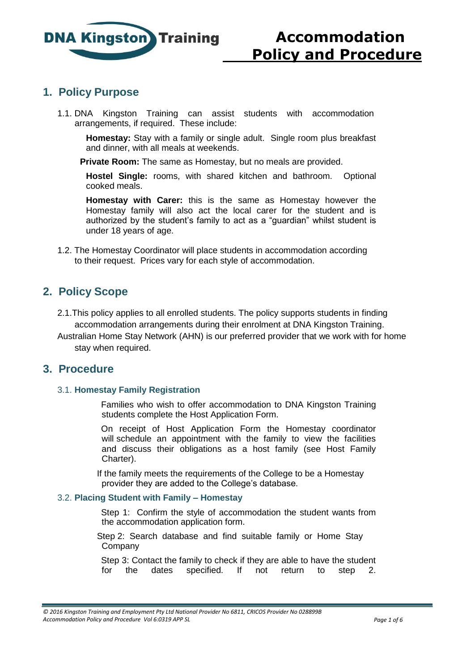

## **1. Policy Purpose**

1.1. DNA Kingston Training can assist students with accommodation arrangements, if required. These include:

**Homestay:** Stay with a family or single adult. Single room plus breakfast and dinner, with all meals at weekends.

**Private Room:** The same as Homestay, but no meals are provided.

**Hostel Single:** rooms, with shared kitchen and bathroom. Optional cooked meals.

**Homestay with Carer:** this is the same as Homestay however the Homestay family will also act the local carer for the student and is authorized by the student's family to act as a "guardian" whilst student is under 18 years of age.

1.2. The Homestay Coordinator will place students in accommodation according to their request. Prices vary for each style of accommodation.

# **2. Policy Scope**

- 2.1.This policy applies to all enrolled students. The policy supports students in finding accommodation arrangements during their enrolment at DNA Kingston Training.
- Australian Home Stay Network (AHN) is our preferred provider that we work with for home stay when required.

## **3. Procedure**

#### 3.1. **Homestay Family Registration**

Families who wish to offer accommodation to DNA Kingston Training students complete the Host Application Form.

On receipt of Host Application Form the Homestay coordinator will schedule an appointment with the family to view the facilities and discuss their obligations as a host family (see Host Family Charter).

 If the family meets the requirements of the College to be a Homestay provider they are added to the College's database.

### 3.2. **Placing Student with Family – Homestay**

Step 1: Confirm the style of accommodation the student wants from the accommodation application form.

 Step 2: Search database and find suitable family or Home Stay Company

Step 3: Contact the family to check if they are able to have the student for the dates specified. If not return to step 2.

*<sup>© 2016</sup> Kingston Training and Employment Pty Ltd National Provider No 6811, CRICOS Provider No 028899B Accommodation Policy and Procedure Vol 6:0319 APP SL Page 1 of 6*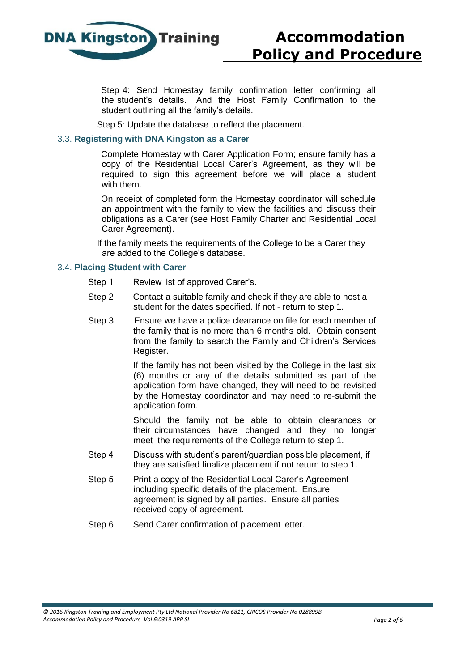

Step 4: Send Homestay family confirmation letter confirming all the student's details. And the Host Family Confirmation to the student outlining all the family's details.

Step 5: Update the database to reflect the placement.

### 3.3. **Registering with DNA Kingston as a Carer**

Complete Homestay with Carer Application Form; ensure family has a copy of the Residential Local Carer's Agreement, as they will be required to sign this agreement before we will place a student with them.

On receipt of completed form the Homestay coordinator will schedule an appointment with the family to view the facilities and discuss their obligations as a Carer (see Host Family Charter and Residential Local Carer Agreement).

 If the family meets the requirements of the College to be a Carer they are added to the College's database.

#### 3.4. **Placing Student with Carer**

- Step 1 Review list of approved Carer's.
- Step 2 Contact a suitable family and check if they are able to host a student for the dates specified. If not - return to step 1.
- Step 3 Ensure we have a police clearance on file for each member of the family that is no more than 6 months old. Obtain consent from the family to search the Family and Children's Services Register.

If the family has not been visited by the College in the last six (6) months or any of the details submitted as part of the application form have changed, they will need to be revisited by the Homestay coordinator and may need to re-submit the application form.

Should the family not be able to obtain clearances or their circumstances have changed and they no longer meet the requirements of the College return to step 1.

- Step 4 Discuss with student's parent/guardian possible placement, if they are satisfied finalize placement if not return to step 1.
- Step 5 Print a copy of the Residential Local Carer's Agreement including specific details of the placement. Ensure agreement is signed by all parties. Ensure all parties received copy of agreement.
- Step 6 Send Carer confirmation of placement letter.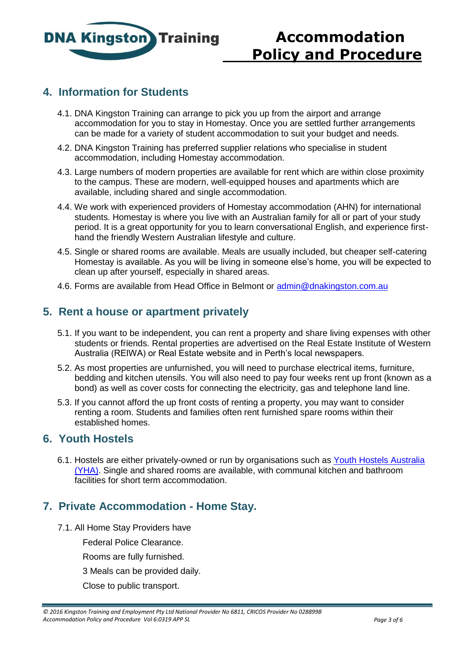

# **Accommodation Policy and Procedure**

# **4. Information for Students**

- 4.1. DNA Kingston Training can arrange to pick you up from the airport and arrange accommodation for you to stay in Homestay. Once you are settled further arrangements can be made for a variety of student accommodation to suit your budget and needs.
- 4.2. DNA Kingston Training has preferred supplier relations who specialise in student accommodation, including Homestay accommodation.
- 4.3. Large numbers of modern properties are available for rent which are within close proximity to the campus. These are modern, well-equipped houses and apartments which are available, including shared and single accommodation.
- 4.4. We work with experienced providers of Homestay accommodation (AHN) for international students. Homestay is where you live with an Australian family for all or part of your study period. It is a great opportunity for you to learn conversational English, and experience firsthand the friendly Western Australian lifestyle and culture.
- 4.5. Single or shared rooms are available. Meals are usually included, but cheaper self-catering Homestay is available. As you will be living in someone else's home, you will be expected to clean up after yourself, especially in shared areas.
- 4.6. Forms are available from Head Office in Belmont or [admin@dnakingston.com.au](mailto:admin@dnakingston.com.au)

# **5. Rent a house or apartment privately**

- 5.1. If you want to be independent, you can rent a property and share living expenses with other students or friends. Rental properties are advertised on the Real Estate Institute of Wester[n](http://www.realestate.com.au/) [Australia \(REIWA\) or Real Estate website and in Perth's local newspapers.](http://www.realestate.com.au/)
- 5.2. As most properties are unfurnished, you will need to purchase electrical items, furniture, bedding and kitchen utensils. You will also need to pay four weeks rent up front (known as a bond) as well as cover costs for connecting the electricity, gas and telephone land line.
- 5.3. If you cannot afford the up front costs of renting a property, you may want to consider renting a room. Students and families often rent furnished spare rooms within their established homes.

## **6. Youth Hostels**

6.1. Hostels are either privately-owned or run by organisations such as [Youth Hostels Australia](https://www.yha.com.au/hostels/) [\(YHA\). Single and shared rooms are available, with communal kitchen and bathroom](https://www.yha.com.au/hostels/) facilities for short term accommodation.

# **7. Private Accommodation - Home Stay.**

- 7.1. All Home Stay Providers have
	- Federal Police Clearance.
	- Rooms are fully furnished.
	- 3 Meals can be provided daily.
	- Close to public transport.

*<sup>© 2016</sup> Kingston Training and Employment Pty Ltd National Provider No 6811, CRICOS Provider No 028899B Accommodation Policy and Procedure Vol 6:0319 APP SL Page 3 of 6*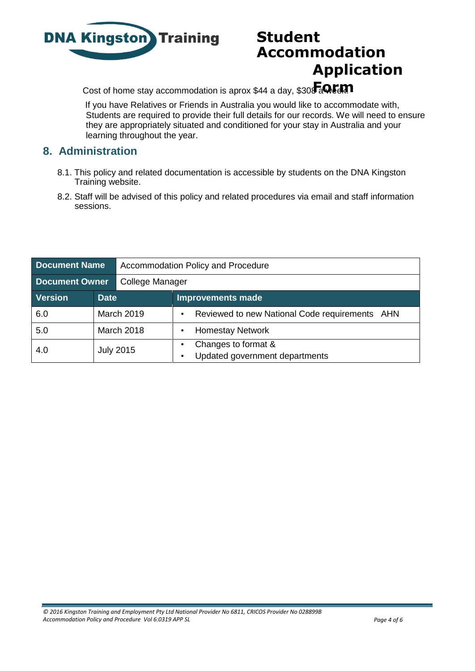

# **Student Accommodation Application**

Cost of home stay accommodation is aprox \$44 a day, \$308 a Cult

If you have Relatives or Friends in Australia you would like to accommodate with, Students are required to provide their full details for our records. We will need to ensure they are appropriately situated and conditioned for your stay in Australia and your learning throughout the year.

# **8. Administration**

- 8.1. This policy and related documentation is accessible by students on the DNA Kingston Training website.
- 8.2. Staff will be advised of this policy and related procedures via email and staff information sessions.

| <b>Document Name</b>  |                  | Accommodation Policy and Procedure |                                                       |  |
|-----------------------|------------------|------------------------------------|-------------------------------------------------------|--|
| <b>Document Owner</b> |                  | College Manager                    |                                                       |  |
| <b>Version</b>        | <b>Date</b>      |                                    | Improvements made                                     |  |
| 6.0                   | March 2019       |                                    | Reviewed to new National Code requirements AHN        |  |
| 5.0                   | March 2018       |                                    | <b>Homestay Network</b>                               |  |
| 4.0                   | <b>July 2015</b> |                                    | Changes to format &<br>Updated government departments |  |